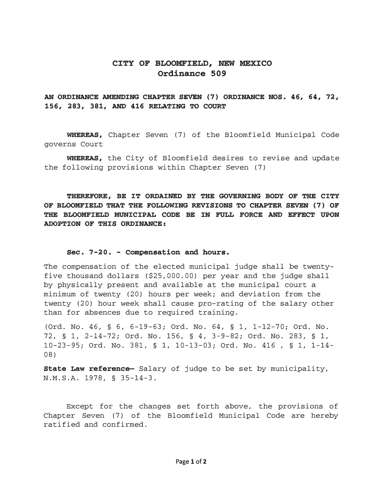## CITY OF BLOOMFIELD, NEW MEXICO Ordinance 509

## AN ORDINANCE AMENDING CHAPTER SEVEN (7) ORDINANCE NOS. 46, 64, 72, 156, 283, 381, AND 416 RELATING TO COURT

WHEREAS, Chapter Seven (7) of the Bloomfield Municipal Code governs Court

WHEREAS, the City of Bloomfield desires to revise and update the following provisions within Chapter Seven (7)

THEREFORE, BE IT ORDAINED BY THE GOVERNING BODY OF THE CITY OF BLOOMFIELD THAT THE FOLLOWING REVISIONS TO CHAPTER SEVEN (7) OF THE BLOOMFIELD MUNICIPAL CODE BE IN FULL FORCE AND EFFECT UPON ADOPTION OF THIS ORDINANCE:

#### Sec. 7-20. - Compensation and hours.

The compensation of the elected municipal judge shall be twentyfive thousand dollars (\$25,000.00) per year and the judge shall by physically present and available at the municipal court a minimum of twenty (20) hours per week; and deviation from the twenty (20) hour week shall cause pro-rating of the salary other than for absences due to required training.

(Ord. No. 46, § 6, 6-19-63; Ord. No. 64, § 1, 1-12-70; Ord. No. 72, § 1, 2-14-72; Ord. No. 156, § 4, 3-9-82; Ord. No. 283, § 1, 10-23-95; Ord. No. 381, § 1, 10-13-03; Ord. No. 416 , § 1, 1-14- 08)

State Law reference- Salary of judge to be set by municipality, N.M. S.A. 1978, § 35-14-3.

Except for the changes set forth above, the provisions of Chapter Seven (7) of the Bloomfield Municipal Code are hereby ratified and confirmed.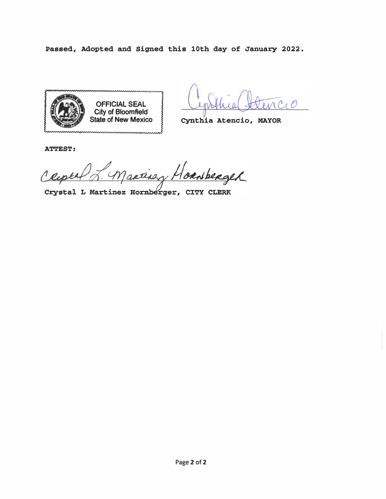Passed, Adopted and Signed this 10th day of January 2022.



Cynthia Atencio, MAYOR

**ATTEST:** 

retirez Hornberger  $\overline{\Lambda}$ 

Crystal L Martinez Hornberger, CITY CLERK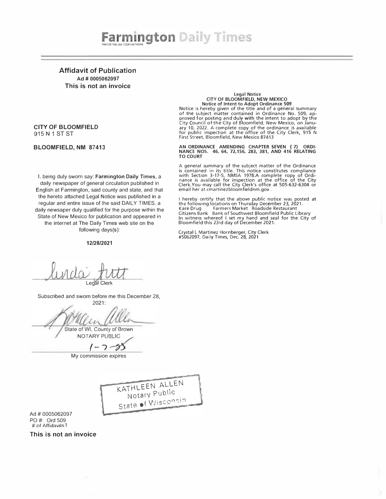

Affidavit of Publication Ad # 0005062097 This is not an invoice

#### CITY OF BLOOMFIELD 915 N 1 ST ST

BLOOMFIELD, NM 87413

I, being duly sworn say: Farmington Daily Times, a daily newspaper of general circulation published in English at Farmington, said county and state, and that the hereto attached Legal Notice was published in a regular and entire issue of the said DAILY TIMES, a daily newsaper duly qualified for the purpose within the State of New Mexico for publication and appeared in the internet at The Daily Times web site on the following days(s):

#### 12/28/2021

# Legal Notice<br>CITY OF BLOOMFIELD, NEW MEXICO Notice of Intent to Adopt Ordinance 509 Notice is hereby given of the title and of a general summary

of the subject matter contained in Ordinance No. 509, approved for posting and duly with the intent to adopt by the City Council of the City of Bloomfield, New Mexico, on January 10, 2022. A complete copy of the ordinance is available for public inspection at the office of the City Clerk, 915 N First Street, Bloomfield, New Mexico 87413

AN ORDINANCE AMENDING CHAPTER SEVEN ( 7) ORDI-NANCE NOS. 46, 64, 72,156, 283, 381, AND 416 RELATING TO COURT

A general summary of the subject matter of the Ordinance is contained in its title. This notice constitutes compliance<br>with Section 3-17-5, NMSA 1978.A complete copy of Ordi-<br>nance is available for inspection at the office of the City<br>Clerk.You may call the City Clerk's office a email her at cmartinezbloomfieldnm.gov.

I hereby certify that the above public notice was posted at the following locations on Thursday December 23, 2021.<br>Kare Drug Farmers Market Roadside Restaurant Citizens Bank Bank of Southwest Bloomfield Public Library In witness whereof I set my hand and seal for the City of Bloomfield this 23rd day of December 2021.

Crystal L Martinez Hornberger, City Clerk #5062097, Daily Times, Dec. 28, 2021

Legal Clerk

Subscribed and sworn before me this December 28, 2021:

State of WI, County of Brown NOTARY PUBLIC /

 $1 - 7 - 55$ 

My commission expires



Ad # 0005062097 PO #: Ord 509 # of Affidavits 1

This is not an invoice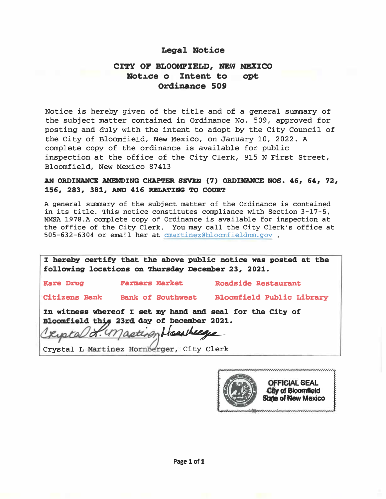#### Legal Notice

# CITY OF BLOOMFZELD, NEW MEXICO Notice o Intent to opt Ordinance 509

Notice is hereby given of the title and of a general summary of the subject matter contained in Ordinance No. 509, approved for posting and duly with the intent to adopt by the City Council of the City of Bloomfield, New Mexico, on January 10, 2022. A complete copy of the ordinance is available for public inspection at the office of the City Clerk, 915 N First Street, Bloomfield, New Mexico 87413

## AN ORDINANCE AMENDING CHAPTER SEVEN (7) ORDINANCE NOS. 46, 64, 72, 156, 283, 381, AND 416 RELATING TO COURT

A general summary of the subject matter of the Ordinance is contained in its title. This notice constitutes compliance with Section 3-17-S, NMSA 1978.A complete copy of Ordinance is available for inspection at the office of the City Clerk. You may call the City Clerk's office at 505-632-6304 or email her at cmartinez@bloomfieldnm.gov .

| I hereby certify that the above public notice was posted at the<br>following locations on Thursday December 23, 2021. |                                 |                            |
|-----------------------------------------------------------------------------------------------------------------------|---------------------------------|----------------------------|
| <b>Kare Drug</b>                                                                                                      | <b>Farmers Market</b>           | <b>Roadside Restaurant</b> |
|                                                                                                                       | Citizens Bank Bank of Southwest | Bloomfield Public Library  |
| In witness whereof I set my hand and seal for the City of<br>Bloomfield this 23rd day of December 2021.               |                                 |                            |
| Cripta & masteren Housey<br>Crystal L Martinez Hornberger, City Clerk                                                 |                                 |                            |

 $\circledS$ **OFFICIAL SEAL<br>City of Bioornfield State of New Mexico**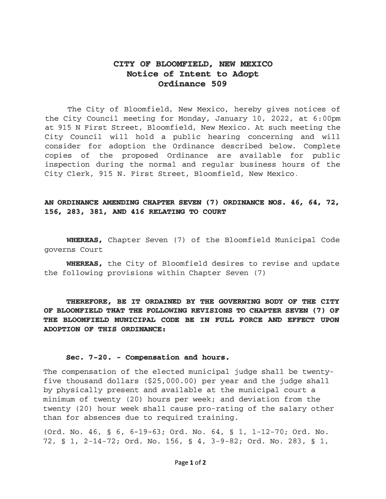# CITY OF BLOOMFIELD, NEW MEXICO Notice of Intent to Adopt Ordinance 509

The City of Bloomfield, New Mexico, hereby gives notices of the City Council meeting for Monday, January 10, 2022, at 6:00pm at 915 N First Street, Bloomfield, New Mexico. At such meeting the City Council will hold a public hearing concerning and will consider for adoption the Ordinance described below. Complete copies of the proposed Ordinance are available for public inspection during the normal and regular business hours of the City Clerk, 915 N. First Street, Bloomfield, New Mexico.

## AN ORDINANCE AMENDING CHAPTER SEVEN (7) ORDINANCE NOS. 46, 64, 72, 156, 283, 381, AND 416 RELATING TO COURT

WHEREAS, Chapter Seven (7) of the Bloomfield Municipal Code governs Court

WHEREAS, the City of Bloomfield desires to revise and update the following provisions within Chapter Seven (7)

THEREFORE, BE IT ORDAINED BY THE GOVERNING BODY OF THE CITY OF BLOOMFIELD THAT THE FOLLOWING REVISIONS TO CHAPTER SEVEN (7) OF THE BLOOMFIELD MUNICIPAL CODE BE IN FULL FORCE AND EFFECT UPON ADOPTION OF THIS ORDINANCE:

#### Sec. 7-20. - Compensation and hours.

The compensation of the elected municipal judge shall be twentyfive thousand dollars  $(525,000.00)$  per year and the judge shall by physically present and available at the municipal court a minimum of twenty (20) hours per week; and deviation from the twenty (20) hour week shall cause pro-rating of the salary other than for absences due to required training.

(Ord. No. 46, § 6, 6-19-63; Ord. No. 64, § 1, 1-12-70; Ord. No. 72, § 1, 2-14-72; Ord. No. 156, § 4, 3-9-82; Ord. No. 283, § 1,